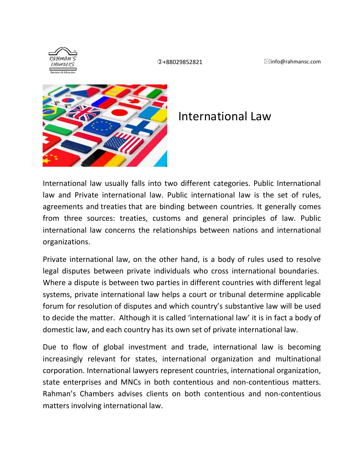



## International Law

International law usually falls into two different categories. Public International law and Private international law. Public international law is the set of rules, agreements and [treaties](https://travel.state.gov/content/travel/en/legal-considerations/international-treaties-agreements.html) that are binding between countries. It generally comes from three sources: treaties, customs and general principles of law. Public international law concerns the relationships between nations and international organizations.

Private international law, on the other hand, is a body of rules used to resolve legal disputes between private individuals who cross international boundaries. Where a dispute is between two parties in different countries with different legal systems, private international law helps a court or tribunal determine applicable forum for resolution of disputes and which country's substantive law will be used to decide the matter. Although it is called 'international law' it is in fact a body of domestic law, and each country has its own set of private international law.

Due to flow of global investment and trade, international law is becoming increasingly relevant for states, international organization and multinational corporation. International lawyers represent countries, international organization, state enterprises and MNCs in both contentious and non-contentious matters. Rahman's Chambers advises clients on both contentious and non-contentious matters involving international law.